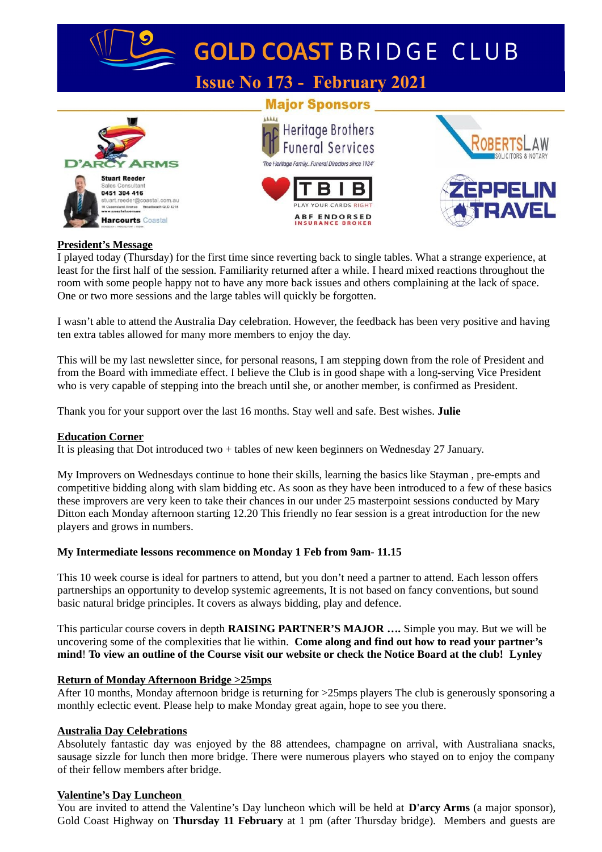

## **President's Message**

I played today (Thursday) for the first time since reverting back to single tables. What a strange experience, at least for the first half of the session. Familiarity returned after a while. I heard mixed reactions throughout the room with some people happy not to have any more back issues and others complaining at the lack of space. One or two more sessions and the large tables will quickly be forgotten.

I wasn't able to attend the Australia Day celebration. However, the feedback has been very positive and having ten extra tables allowed for many more members to enjoy the day.

This will be my last newsletter since, for personal reasons, I am stepping down from the role of President and from the Board with immediate effect. I believe the Club is in good shape with a long-serving Vice President who is very capable of stepping into the breach until she, or another member, is confirmed as President.

Thank you for your support over the last 16 months. Stay well and safe. Best wishes. **Julie**

### **Education Corner**

It is pleasing that Dot introduced two + tables of new keen beginners on Wednesday 27 January.

My Improvers on Wednesdays continue to hone their skills, learning the basics like Stayman , pre-empts and competitive bidding along with slam bidding etc. As soon as they have been introduced to a few of these basics these improvers are very keen to take their chances in our under 25 masterpoint sessions conducted by Mary Ditton each Monday afternoon starting 12.20 This friendly no fear session is a great introduction for the new players and grows in numbers.

### **My Intermediate lessons recommence on Monday 1 Feb from 9am- 11.15**

This 10 week course is ideal for partners to attend, but you don't need a partner to attend. Each lesson offers partnerships an opportunity to develop systemic agreements, It is not based on fancy conventions, but sound basic natural bridge principles. It covers as always bidding, play and defence.

This particular course covers in depth **RAISING PARTNER'S MAJOR ….** Simple you may. But we will be uncovering some of the complexities that lie within. **Come along and find out how to read your partner's mind**! **To view an outline of the Course visit our website or check the Notice Board at the club! Lynley**

### **Return of Monday Afternoon Bridge >25mps**

After 10 months, Monday afternoon bridge is returning for >25mps players The club is generously sponsoring a monthly eclectic event. Please help to make Monday great again, hope to see you there.

### **Australia Day Celebrations**

Absolutely fantastic day was enjoyed by the 88 attendees, champagne on arrival, with Australiana snacks, sausage sizzle for lunch then more bridge. There were numerous players who stayed on to enjoy the company of their fellow members after bridge.

### **Valentine's Day Luncheon**

You are invited to attend the Valentine's Day luncheon which will be held at **D'arcy Arms** (a major sponsor), Gold Coast Highway on **Thursday 11 February** at 1 pm (after Thursday bridge). Members and guests are